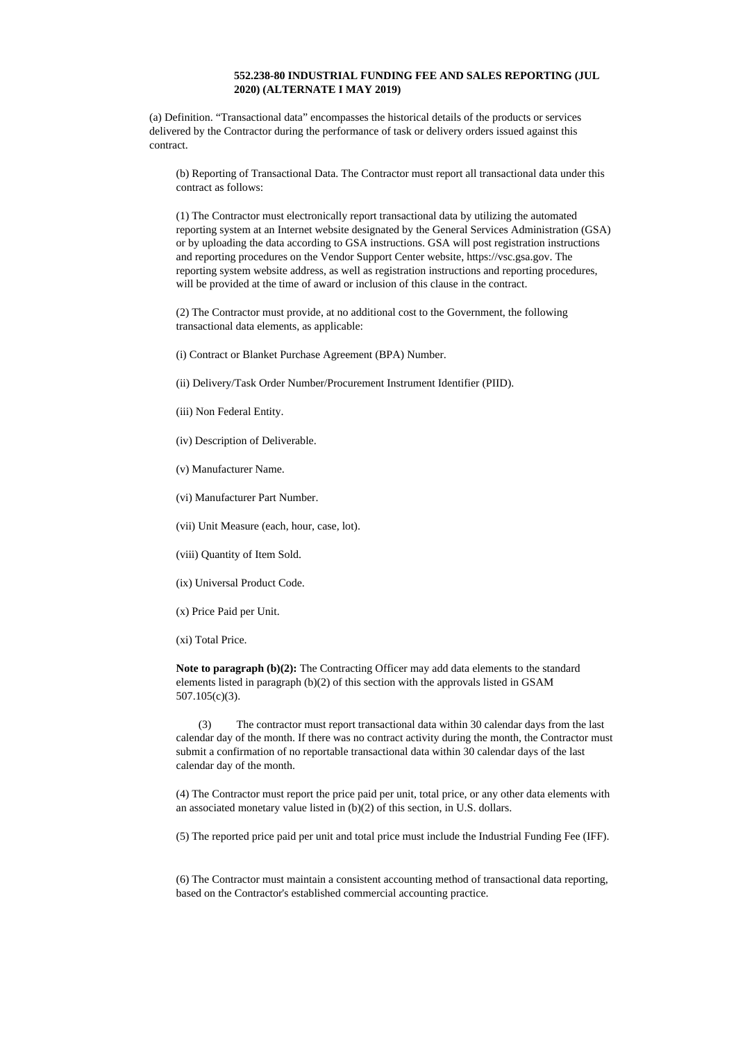## **552.238-80 INDUSTRIAL FUNDING FEE AND SALES REPORTING (JUL 2020) (ALTERNATE I MAY 2019)**

(a) Definition. "Transactional data" encompasses the historical details of the products or services delivered by the Contractor during the performance of task or delivery orders issued against this contract.

(b) Reporting of Transactional Data. The Contractor must report all transactional data under this contract as follows:

(1) The Contractor must electronically report transactional data by utilizing the automated reporting system at an Internet website designated by the General Services Administration (GSA) or by uploading the data according to GSA instructions. GSA will post registration instructions and reporting procedures on the Vendor Support Center website, https://vsc.gsa.gov. The reporting system website address, as well as registration instructions and reporting procedures, will be provided at the time of award or inclusion of this clause in the contract.

(2) The Contractor must provide, at no additional cost to the Government, the following transactional data elements, as applicable:

(i) Contract or Blanket Purchase Agreement (BPA) Number.

(ii) Delivery/Task Order Number/Procurement Instrument Identifier (PIID).

- (iii) Non Federal Entity.
- (iv) Description of Deliverable.
- (v) Manufacturer Name.
- (vi) Manufacturer Part Number.
- (vii) Unit Measure (each, hour, case, lot).
- (viii) Quantity of Item Sold.
- (ix) Universal Product Code.
- (x) Price Paid per Unit.
- (xi) Total Price.

**Note to paragraph (b)(2):** The Contracting Officer may add data elements to the standard elements listed in paragraph (b)(2) of this section with the approvals listed in GSAM 507.105(c)(3).

(3) The contractor must report transactional data within 30 calendar days from the last calendar day of the month. If there was no contract activity during the month, the Contractor must submit a confirmation of no reportable transactional data within 30 calendar days of the last calendar day of the month.

(4) The Contractor must report the price paid per unit, total price, or any other data elements with an associated monetary value listed in (b)(2) of this section, in U.S. dollars.

(5) The reported price paid per unit and total price must include the Industrial Funding Fee (IFF).

(6) The Contractor must maintain a consistent accounting method of transactional data reporting, based on the Contractor's established commercial accounting practice.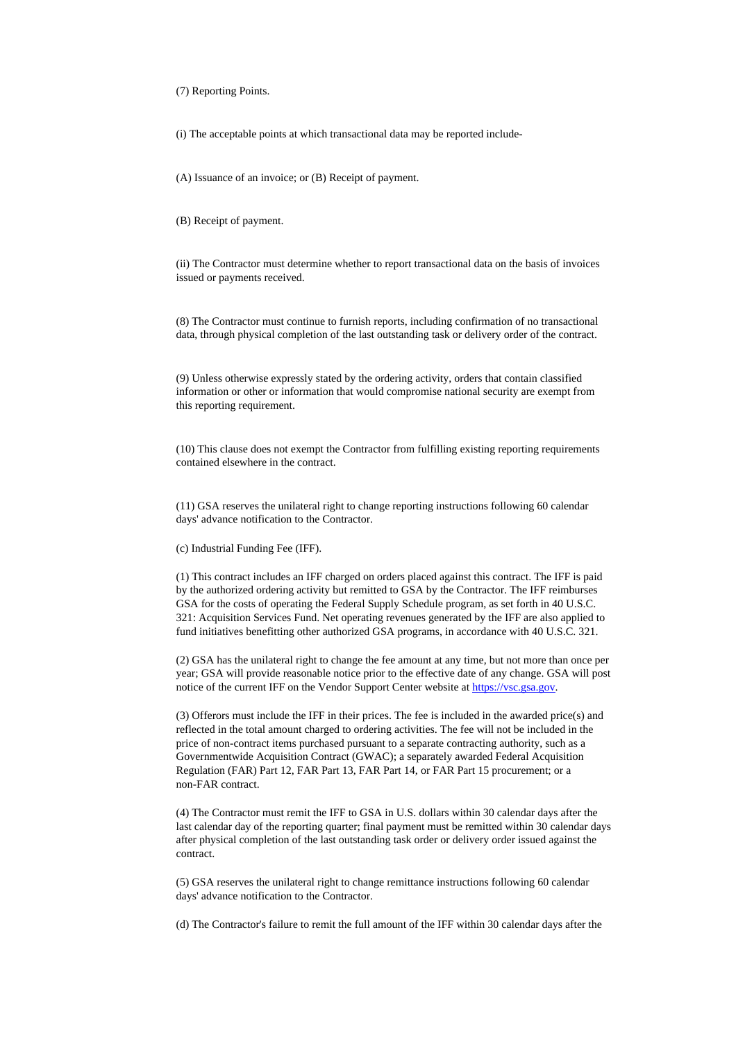(7) Reporting Points.

(i) The acceptable points at which transactional data may be reported include-

(A) Issuance of an invoice; or (B) Receipt of payment.

(B) Receipt of payment.

(ii) The Contractor must determine whether to report transactional data on the basis of invoices issued or payments received.

(8) The Contractor must continue to furnish reports, including confirmation of no transactional data, through physical completion of the last outstanding task or delivery order of the contract.

(9) Unless otherwise expressly stated by the ordering activity, orders that contain classified information or other or information that would compromise national security are exempt from this reporting requirement.

(10) This clause does not exempt the Contractor from fulfilling existing reporting requirements contained elsewhere in the contract.

(11) GSA reserves the unilateral right to change reporting instructions following 60 calendar days' advance notification to the Contractor.

(c) Industrial Funding Fee (IFF).

(1) This contract includes an IFF charged on orders placed against this contract. The IFF is paid by the authorized ordering activity but remitted to GSA by the Contractor. The IFF reimburses GSA for the costs of operating the Federal Supply Schedule program, as set forth in 40 U.S.C. 321: Acquisition Services Fund. Net operating revenues generated by the IFF are also applied to fund initiatives benefitting other authorized GSA programs, in accordance with 40 U.S.C. 321.

(2) GSA has the unilateral right to change the fee amount at any time, but not more than once per year; GSA will provide reasonable notice prior to the effective date of any change. GSA will post notice of the current IFF on the Vendor Support Center website at [https://vsc.gsa.gov.](https://vsc.gsa.gov/)

(3) Offerors must include the IFF in their prices. The fee is included in the awarded price(s) and reflected in the total amount charged to ordering activities. The fee will not be included in the price of non-contract items purchased pursuant to a separate contracting authority, such as a Governmentwide Acquisition Contract (GWAC); a separately awarded Federal Acquisition Regulation (FAR) Part 12, FAR Part 13, FAR Part 14, or FAR Part 15 procurement; or a non-FAR contract.

(4) The Contractor must remit the IFF to GSA in U.S. dollars within 30 calendar days after the last calendar day of the reporting quarter; final payment must be remitted within 30 calendar days after physical completion of the last outstanding task order or delivery order issued against the contract.

(5) GSA reserves the unilateral right to change remittance instructions following 60 calendar days' advance notification to the Contractor.

(d) The Contractor's failure to remit the full amount of the IFF within 30 calendar days after the